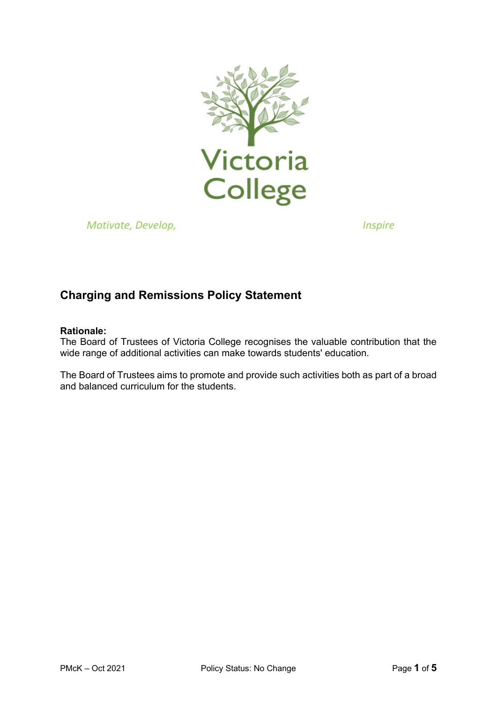

*Motivate, Develop, Inspire* 

# **Charging and Remissions Policy Statement**

## **Rationale:**

The Board of Trustees of Victoria College recognises the valuable contribution that the wide range of additional activities can make towards students' education.

The Board of Trustees aims to promote and provide such activities both as part of a broad and balanced curriculum for the students.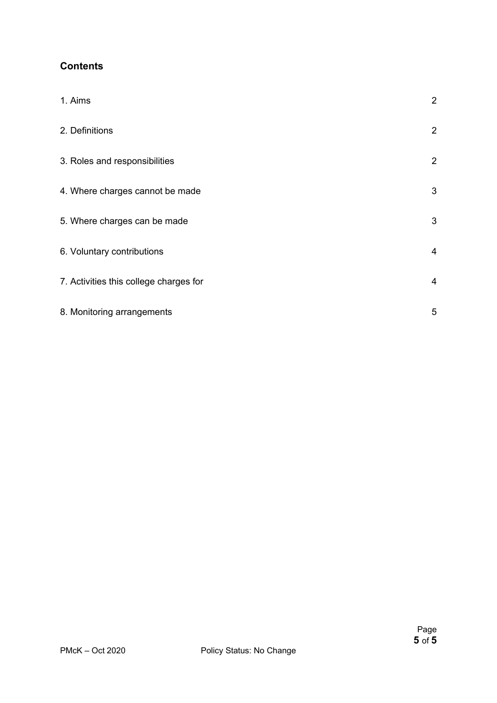# **Contents**

| 1. Aims                                | $\overline{2}$ |
|----------------------------------------|----------------|
| 2. Definitions                         | $\overline{2}$ |
| 3. Roles and responsibilities          | $\overline{2}$ |
| 4. Where charges cannot be made        | $\mathfrak{S}$ |
| 5. Where charges can be made           | $\mathfrak{S}$ |
| 6. Voluntary contributions             | 4              |
| 7. Activities this college charges for | 4              |
| 8. Monitoring arrangements             | 5              |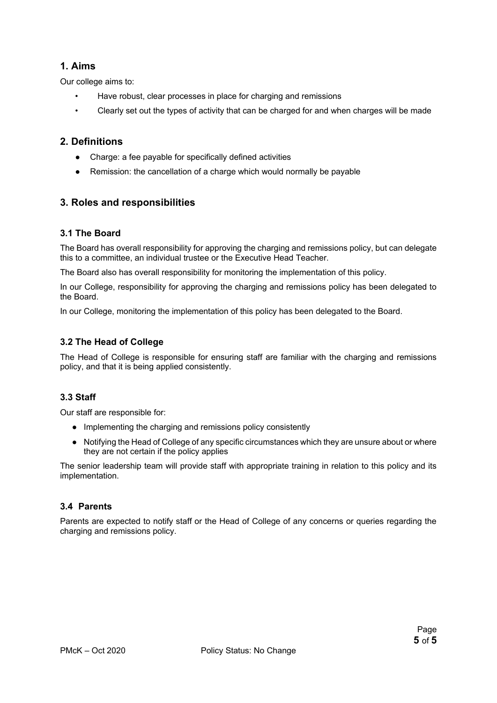# **1. Aims**

Our college aims to:

- Have robust, clear processes in place for charging and remissions
- Clearly set out the types of activity that can be charged for and when charges will be made

## **2. Definitions**

- Charge: a fee payable for specifically defined activities
- Remission: the cancellation of a charge which would normally be payable

## **3. Roles and responsibilities**

#### **3.1 The Board**

The Board has overall responsibility for approving the charging and remissions policy, but can delegate this to a committee, an individual trustee or the Executive Head Teacher.

The Board also has overall responsibility for monitoring the implementation of this policy.

In our College, responsibility for approving the charging and remissions policy has been delegated to the Board.

In our College, monitoring the implementation of this policy has been delegated to the Board.

#### **3.2 The Head of College**

The Head of College is responsible for ensuring staff are familiar with the charging and remissions policy, and that it is being applied consistently.

#### **3.3 Staff**

Our staff are responsible for:

- Implementing the charging and remissions policy consistently
- Notifying the Head of College of any specific circumstances which they are unsure about or where they are not certain if the policy applies

The senior leadership team will provide staff with appropriate training in relation to this policy and its implementation.

#### **3.4 Parents**

Parents are expected to notify staff or the Head of College of any concerns or queries regarding the charging and remissions policy.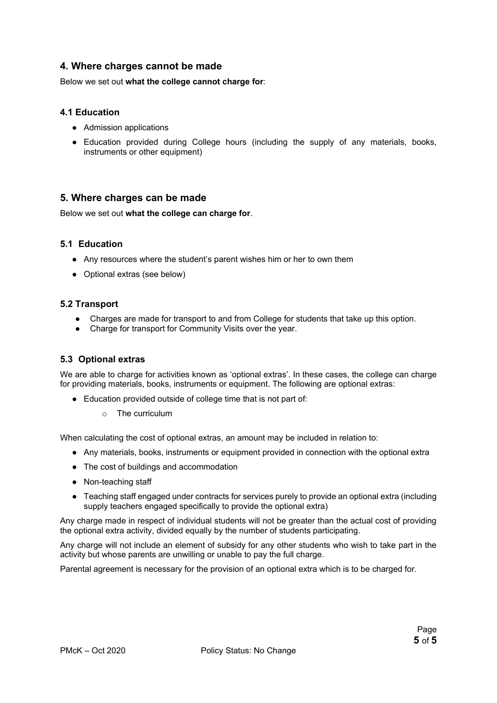## **4. Where charges cannot be made**

Below we set out **what the college cannot charge for**:

#### **4.1 Education**

- Admission applications
- Education provided during College hours (including the supply of any materials, books, instruments or other equipment)

#### **5. Where charges can be made**

Below we set out **what the college can charge for**.

#### **5.1 Education**

- Any resources where the student's parent wishes him or her to own them
- Optional extras (see below)

#### **5.2 Transport**

- Charges are made for transport to and from College for students that take up this option.
- Charge for transport for Community Visits over the year.

#### **5.3 Optional extras**

We are able to charge for activities known as 'optional extras'. In these cases, the college can charge for providing materials, books, instruments or equipment. The following are optional extras:

- Education provided outside of college time that is not part of:
	- o The curriculum

When calculating the cost of optional extras, an amount may be included in relation to:

- Any materials, books, instruments or equipment provided in connection with the optional extra
- The cost of buildings and accommodation
- Non-teaching staff
- Teaching staff engaged under contracts for services purely to provide an optional extra (including supply teachers engaged specifically to provide the optional extra)

Any charge made in respect of individual students will not be greater than the actual cost of providing the optional extra activity, divided equally by the number of students participating.

Any charge will not include an element of subsidy for any other students who wish to take part in the activity but whose parents are unwilling or unable to pay the full charge.

Parental agreement is necessary for the provision of an optional extra which is to be charged for.